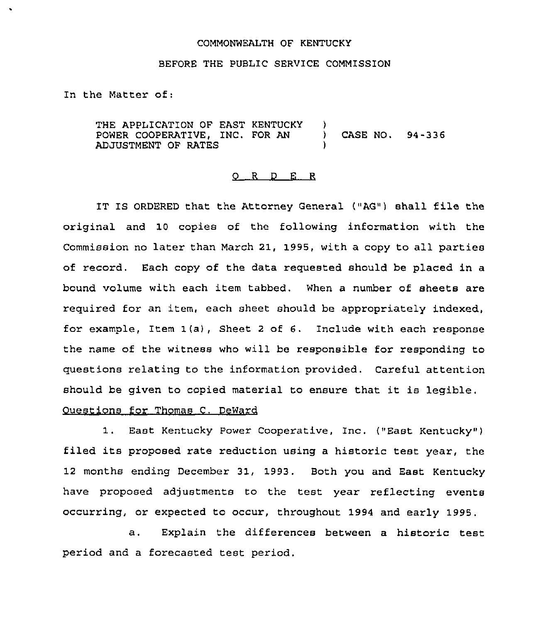### COMMONWEALTH OF KENTUCKY

### BEFORE THE PUBLIC SERVICE COMMISSION

In the Matter of:

THE APPLICATION OF EAST KENTUCKY POWER COOPERATIVE, INC. FOR AN ADJUSTMENT OF RATES  $\left\langle \right\rangle$ ) CASE NO. 94-336 )

#### 0 <sup>R</sup> <sup>D</sup> E <sup>R</sup>

IT IS ORDERED that the Attorney General ("AG") shall file the original and 10 copies of the following information with the Commission no later than March 21, 1995, with a copy to all parties of record. Each copy of the data requested should be placed in a bound volume with each item tabbed. When a number of sheets are required for an item, each sheet should be appropriately indexed, for example, Item 1(a), Sheet <sup>2</sup> of 6. Include with each response the name of the witness who will be responsible for responding to questions relating to the information provided. Careful attention should be given to copied material to ensure that it is legible.

## Questions for Thomas C. DeWard

1. East Kentucky Power Cooperative, Inc. ("East Kentucky" ) filed its proposed rate reduction using <sup>a</sup> historic test year, the 12 months ending December 31, 1993. Both you and East Kentucky have proposed adjustments to the test year reflecting events occurring, or expected to occur, throughout 1994 and early 1995.

a. Explain the differences between a historic test period and a forecasted test period.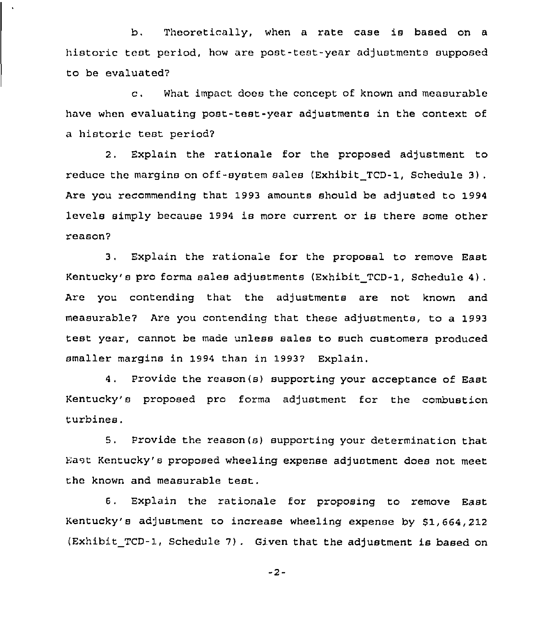b, Theoretically, when a rate case is based on <sup>a</sup> historic teat period, how are post-test-year adjustments supposed to be evaluated7

c. What impact does the concept of known and measurable have when evaluating post-test-year adjustments in the context of a historic test period7

2, Explain the rationale for the proposed adjustment to reduce the margins on off-system sales (Exhibit TCD-1, Schedule 3). Are you recommending that 1993 amounts should be adjusted to 1994 levels simply because 1994 is more current or is there some other reason7

3, Explain the rationale for the proposal to remove East Kentucky's pro forms sales adjustments (Exhibit TCD-1, Schedule 4). Are you contending that the adjustments are not known and measurable7 Are you contending that these adjustments, to a 1993 test year, cannot be made unless sales to such customers produced smaller margins in 1994 than in 19937 Explain.

<sup>4</sup> . Provide the reason(s) supporting your acceptance of East Kentucky's proposed pro forma adjustment for the combustion turbines.

5, Provide the reason(s) supporting your determination that East Kentucky's proposed wheeling expense adjustment does not meet the known and measurable test.

6, Explain the rationale for proposing to remove East Kentucky's adjustment ro increase wheeling expense by 61,664,212 (Exhibit TCD-1, Schedule 7) . Given that the adjustment is based on

-2-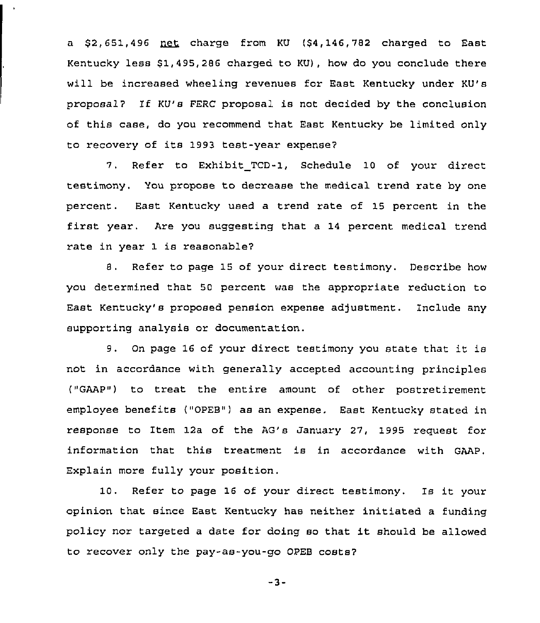a  $$2,651,496$   $net$  charge from KU  $$4,146,782$  charged to East Kentucky less \$1,495,286 charged to KU), how do you conclude there will be increased wheeling revenues for East Kentucky under KU's proposal? If KU's FERC proposal is not decided by the conclusion of this case, do you recommend that East Kentucky be limited only to recovery of its 1993 test-year expense7

7. Refer to Exhibit TCD-l, Schedule 10 of your direct testimony, You propose to decrease the medical trend rate by one percent. East Kentucky used a trend rate of 15 percent in the first year. Are you suggesting that <sup>a</sup> <sup>14</sup> percent medical trend rate in year 1 is reasonable7

8. Refer to page 15 of your direct testimony. Describe how you determined that 50 percent was the appropriate reduction to East Kentucky's proposed pension expense adjustment. Include any supporting analysis or documentation.

9. On page <sup>16</sup> of your direct testimony you state that it is not in accordance with generally accepted accounting principles ("GAAP") to treat the entire amount of other postretirement employee benefits ("OPEB") as an expense. East Kentucky stated in response to Item 12a of the AG's January 27, 1995 request for information that this treatment is in accordance with GAAP. Explain more fully your position.

10. Refer to page <sup>16</sup> of your direct testimony. Is it your opinion that since East Kentucky has neither initiated a funding policy nor targeted <sup>a</sup> date for doing so that it should be allowed to recover only the pay-as-you-go OPEB costs7

 $-3-$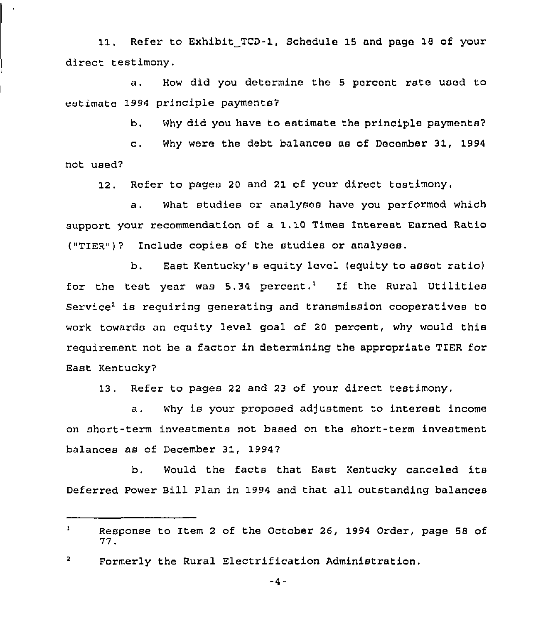11. Refer to Exhibit TCD-1, Schedule 15 and Page 18 of your direct testimony.

a. How did you determine the <sup>5</sup> percent rate used to estimate 1994 principle payments7

b. Why did you have to estimate the principle payments?

c. Why were the debt balances as of December 31, <sup>1994</sup> not used'

12. Refer to pages 20 and 21 of your direct testimony.

a. what studies or analyses have you performed which support your recommendation of a 1.10 Times Interest Earned Ratio  $("TIER")$ ? Include copies of the studies or analyses.

b. East Kentucky's equity level (equity to asset ratio) for the test year was  $5.34$  percent.<sup>1</sup> If the Rural Utilities Service<sup>2</sup> is requiring generating and transmission cooperatives to work towards an equity level goal of 20 percent, why would this requirement not be a factor in determining the appropriate TIER for East Kentucky7

13. Refer to pages 22 and 23 of your direct testimony.

a. Why is your proposed adjustment to interest income on short-term investments not based on the short-term investment balances as of December 31, 1994?

b. Would the facts that East Kentucky canceled its Deferred Power Bill Plan in 1994 and that all outstanding balances

 $-4-$ 

 $\mathbf{1}$ Response to Item <sup>2</sup> of the October 26, 1994 Order, page 58 of 77.

 $\mathbf{z}$ Formerly the Rural Electrification Administration.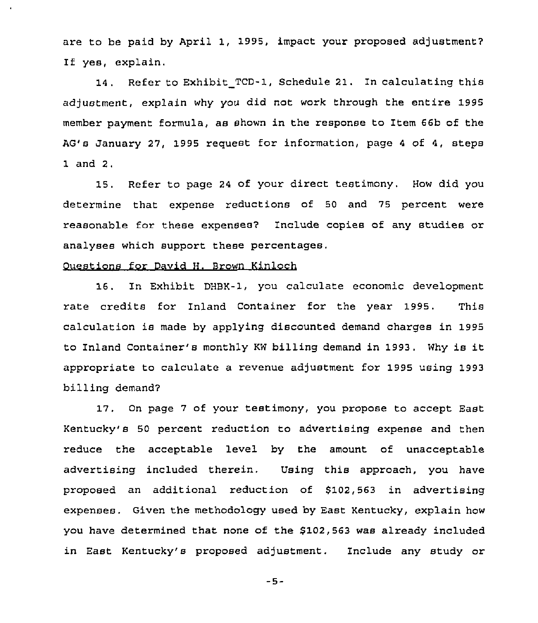are to be paid by April 1, 1995, impact your proposed adjustment7 If yes, explain.

14 . Refer to Exhibit TCD-1, Schedule 21. In calculating this adjustment, explain why you did not work through the entire 1995 member payment formula, as shown in the response to Item 66b of the AG's January 27, 1995 request for information, page 4 of 4, steps 1 and 2.

15. Refer to page 24 of your direct testimony. How did you determine that expense reductions of 50 and 75 percent were reasonable for these expenses2 Include copies of any studies or analyses which support these percentages,

# Questions for David H. Brown Kinloch

16. In Exhibit DHBX-1, you calculate economic development rate credits for Inland Container for the year 1995. This calculation is made by applying discounted demand charges in 1995 to Inland Container's monthly KW billing demand in 1993. Why is it appropriate to calculate a revenue adjustment for 1995 using 1993 billing demand7

17. On page 7 of your testimony, you propose to accept East Kentucky's 50 percent reduction to advertising expense and then reduce the acceptable level by the amount of unacceptable advertising included therein. Using this approach, you have proposed an additional reduction of \$102,563 in advertising expenses. Given the methodology used by East Kentucky, explain how you have determined that none of the \$102,563 was already included in East Kentucky's proposed adjustment, Include any study or

 $-5-$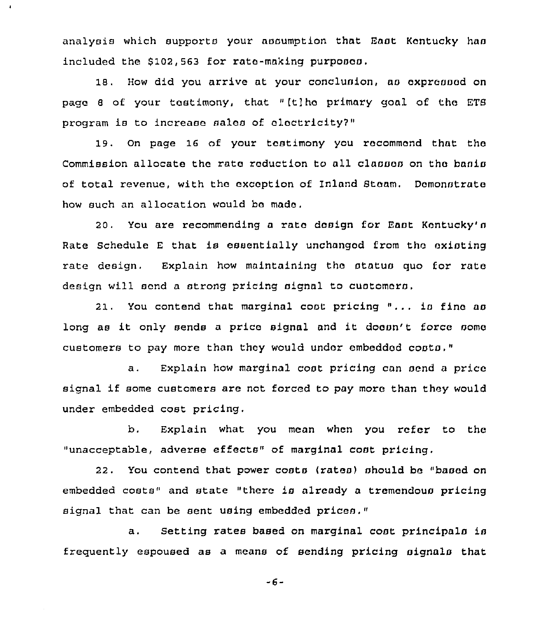analysis which supports your assumption that Enot Kentucky haa included the \$102,563 for rate-making purposos.

 $\bullet$ 

18. How did you arrive at your conclusion, as expressed on page <sup>6</sup> of your testimony, that "[tjho primary goal of the ETS program is to increase sales of electricity?"

19. On page 16 of your testimony you racommcnd that the Commission allocate the rate reduction to all classes on the basis of total revenue, with the exception of Inland Steam. Demonstrate how such an allocation would bo made.

20. You are recommending a rate dosign for East Kentucky's Rate Schedule E that is essentially unchanged from the existing rate design. Explain how maintaining the status quo for rata design will send a strong pricing signal to customers,

21. You contend that marginal coot pricing "... is fine as long as it only sends a price signal and it doosn't force some customers to pay more than they would under embedded costs."

a. Explain how marginal cost pricing can send a price signal if some customers are not forced to pay moro than they would under embedded cost pricing,

b. Explain what you mean when you refer to the "unacceptable, adverse effects" of marginal cost pricing.

22. You contend that power costs {rates) should be "based on embedded costs" and state "there is already a tremendous pricing signal that can be sent using embedded prices."

a. Setting rates based on marginal cost principals is frequently espoused as a means of sending pricing signals that

-6-